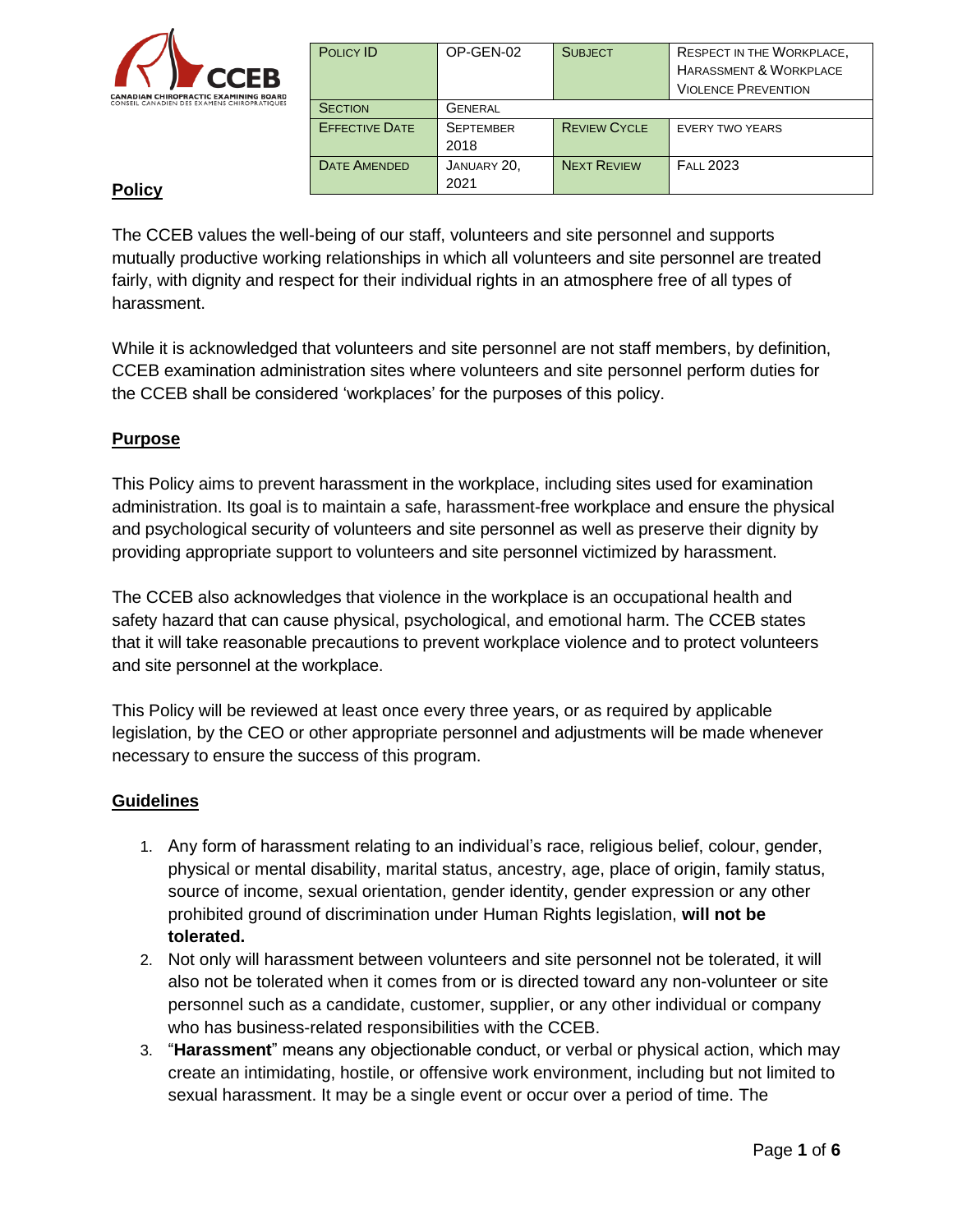

| POLICY ID             | OP-GEN-02        | <b>SUBJECT</b>      | <b>RESPECT IN THE WORKPLACE,</b>  |
|-----------------------|------------------|---------------------|-----------------------------------|
|                       |                  |                     | <b>HARASSMENT &amp; WORKPLACE</b> |
|                       |                  |                     | <b>VIOLENCE PREVENTION</b>        |
| <b>SECTION</b>        | <b>GENERAL</b>   |                     |                                   |
| <b>EFFECTIVE DATE</b> | <b>SEPTEMBER</b> | <b>REVIEW CYCLE</b> | <b>EVERY TWO YEARS</b>            |
|                       | 2018             |                     |                                   |
| <b>DATE AMENDED</b>   | JANUARY 20,      | <b>NEXT REVIEW</b>  | <b>FALL 2023</b>                  |
|                       | 2021             |                     |                                   |

# **Policy**

The CCEB values the well-being of our staff, volunteers and site personnel and supports mutually productive working relationships in which all volunteers and site personnel are treated fairly, with dignity and respect for their individual rights in an atmosphere free of all types of harassment.

While it is acknowledged that volunteers and site personnel are not staff members, by definition, CCEB examination administration sites where volunteers and site personnel perform duties for the CCEB shall be considered 'workplaces' for the purposes of this policy.

## **Purpose**

This Policy aims to prevent harassment in the workplace, including sites used for examination administration. Its goal is to maintain a safe, harassment-free workplace and ensure the physical and psychological security of volunteers and site personnel as well as preserve their dignity by providing appropriate support to volunteers and site personnel victimized by harassment.

The CCEB also acknowledges that violence in the workplace is an occupational health and safety hazard that can cause physical, psychological, and emotional harm. The CCEB states that it will take reasonable precautions to prevent workplace violence and to protect volunteers and site personnel at the workplace.

This Policy will be reviewed at least once every three years, or as required by applicable legislation, by the CEO or other appropriate personnel and adjustments will be made whenever necessary to ensure the success of this program.

## **Guidelines**

- 1. Any form of harassment relating to an individual's race, religious belief, colour, gender, physical or mental disability, marital status, ancestry, age, place of origin, family status, source of income, sexual orientation, gender identity, gender expression or any other prohibited ground of discrimination under Human Rights legislation, **will not be tolerated.**
- 2. Not only will harassment between volunteers and site personnel not be tolerated, it will also not be tolerated when it comes from or is directed toward any non-volunteer or site personnel such as a candidate, customer, supplier, or any other individual or company who has business-related responsibilities with the CCEB.
- 3. "**Harassment**" means any objectionable conduct, or verbal or physical action, which may create an intimidating, hostile, or offensive work environment, including but not limited to sexual harassment. It may be a single event or occur over a period of time. The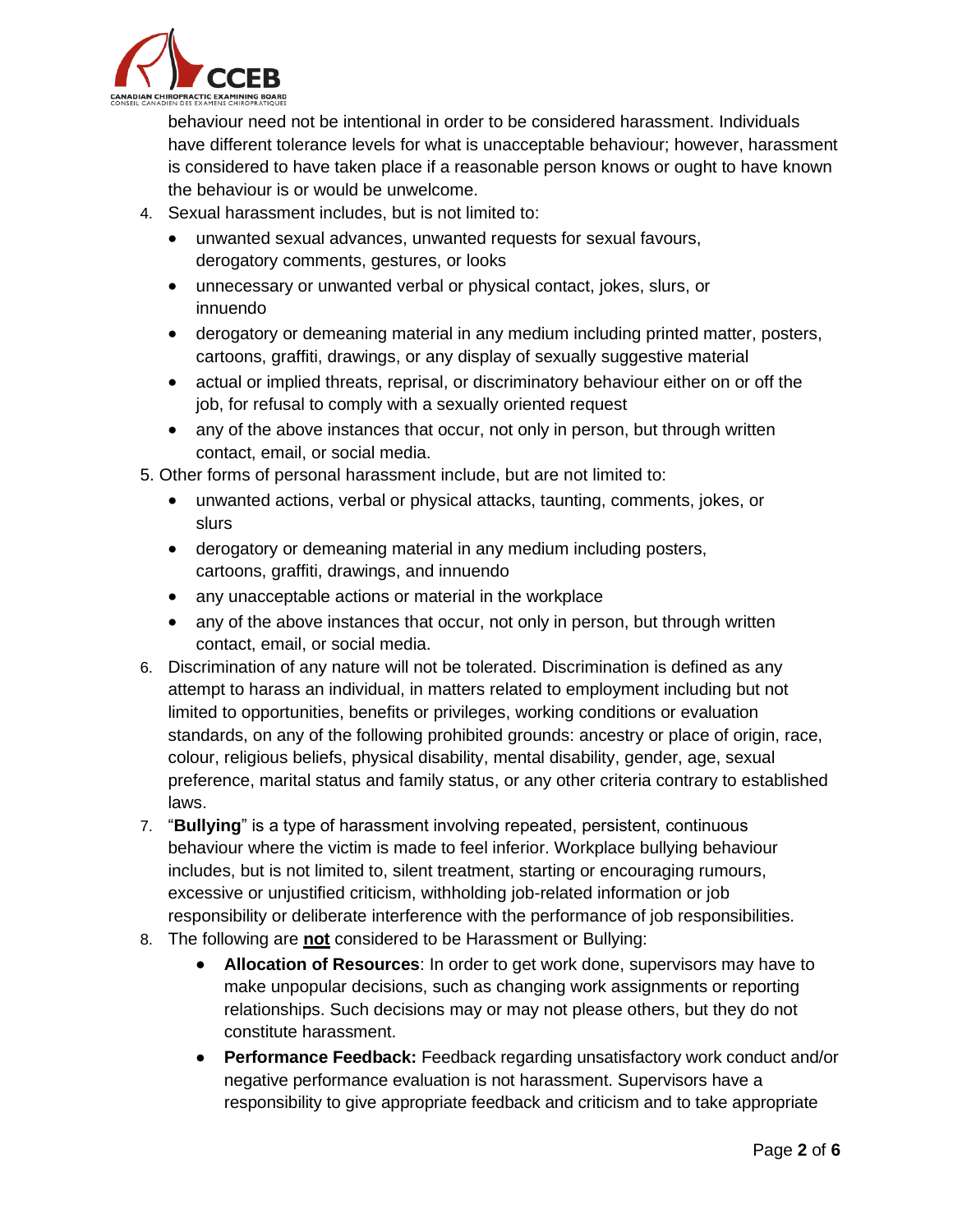

behaviour need not be intentional in order to be considered harassment. Individuals have different tolerance levels for what is unacceptable behaviour; however, harassment is considered to have taken place if a reasonable person knows or ought to have known the behaviour is or would be unwelcome.

- 4. Sexual harassment includes, but is not limited to:
	- unwanted sexual advances, unwanted requests for sexual favours, derogatory comments, gestures, or looks
	- unnecessary or unwanted verbal or physical contact, jokes, slurs, or innuendo
	- derogatory or demeaning material in any medium including printed matter, posters, cartoons, graffiti, drawings, or any display of sexually suggestive material
	- actual or implied threats, reprisal, or discriminatory behaviour either on or off the job, for refusal to comply with a sexually oriented request
	- any of the above instances that occur, not only in person, but through written contact, email, or social media.

5. Other forms of personal harassment include, but are not limited to:

- unwanted actions, verbal or physical attacks, taunting, comments, jokes, or slurs
- derogatory or demeaning material in any medium including posters, cartoons, graffiti, drawings, and innuendo
- any unacceptable actions or material in the workplace
- any of the above instances that occur, not only in person, but through written contact, email, or social media.
- 6. Discrimination of any nature will not be tolerated. Discrimination is defined as any attempt to harass an individual, in matters related to employment including but not limited to opportunities, benefits or privileges, working conditions or evaluation standards, on any of the following prohibited grounds: ancestry or place of origin, race, colour, religious beliefs, physical disability, mental disability, gender, age, sexual preference, marital status and family status, or any other criteria contrary to established laws.
- 7. "**Bullying**" is a type of harassment involving repeated, persistent, continuous behaviour where the victim is made to feel inferior. Workplace bullying behaviour includes, but is not limited to, silent treatment, starting or encouraging rumours, excessive or unjustified criticism, withholding job-related information or job responsibility or deliberate interference with the performance of job responsibilities.
- 8. The following are **not** considered to be Harassment or Bullying:
	- **Allocation of Resources**: In order to get work done, supervisors may have to make unpopular decisions, such as changing work assignments or reporting relationships. Such decisions may or may not please others, but they do not constitute harassment.
	- **Performance Feedback:** Feedback regarding unsatisfactory work conduct and/or negative performance evaluation is not harassment. Supervisors have a responsibility to give appropriate feedback and criticism and to take appropriate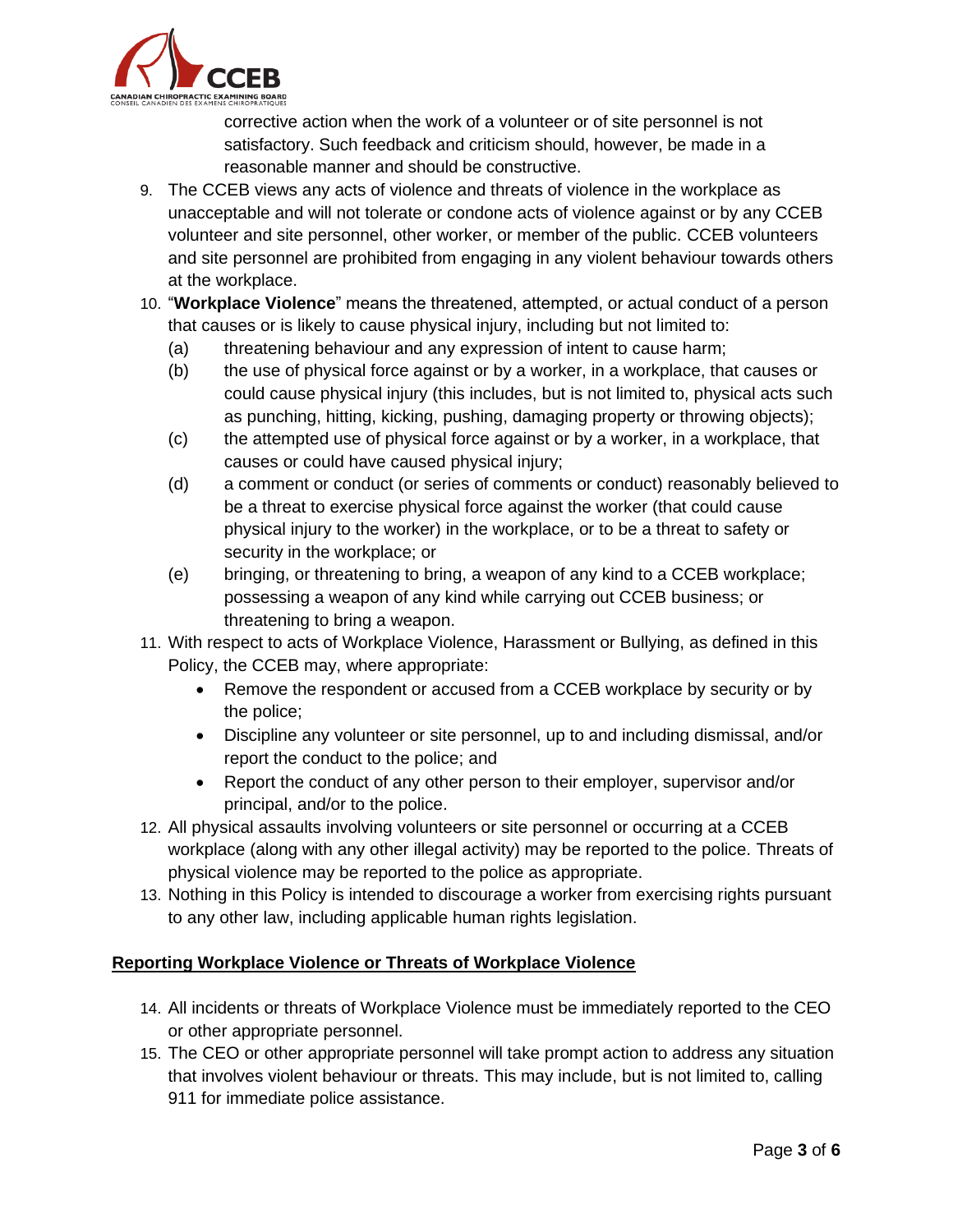

corrective action when the work of a volunteer or of site personnel is not satisfactory. Such feedback and criticism should, however, be made in a reasonable manner and should be constructive.

- 9. The CCEB views any acts of violence and threats of violence in the workplace as unacceptable and will not tolerate or condone acts of violence against or by any CCEB volunteer and site personnel, other worker, or member of the public. CCEB volunteers and site personnel are prohibited from engaging in any violent behaviour towards others at the workplace.
- 10. "**Workplace Violence**" means the threatened, attempted, or actual conduct of a person that causes or is likely to cause physical injury, including but not limited to:
	- (a) threatening behaviour and any expression of intent to cause harm;
	- (b) the use of physical force against or by a worker, in a workplace, that causes or could cause physical injury (this includes, but is not limited to, physical acts such as punching, hitting, kicking, pushing, damaging property or throwing objects);
	- (c) the attempted use of physical force against or by a worker, in a workplace, that causes or could have caused physical injury;
	- (d) a comment or conduct (or series of comments or conduct) reasonably believed to be a threat to exercise physical force against the worker (that could cause physical injury to the worker) in the workplace, or to be a threat to safety or security in the workplace; or
	- (e) bringing, or threatening to bring, a weapon of any kind to a CCEB workplace; possessing a weapon of any kind while carrying out CCEB business; or threatening to bring a weapon.
- 11. With respect to acts of Workplace Violence, Harassment or Bullying, as defined in this Policy, the CCEB may, where appropriate:
	- Remove the respondent or accused from a CCEB workplace by security or by the police;
	- Discipline any volunteer or site personnel, up to and including dismissal, and/or report the conduct to the police; and
	- Report the conduct of any other person to their employer, supervisor and/or principal, and/or to the police.
- 12. All physical assaults involving volunteers or site personnel or occurring at a CCEB workplace (along with any other illegal activity) may be reported to the police. Threats of physical violence may be reported to the police as appropriate.
- 13. Nothing in this Policy is intended to discourage a worker from exercising rights pursuant to any other law, including applicable human rights legislation.

## **Reporting Workplace Violence or Threats of Workplace Violence**

- 14. All incidents or threats of Workplace Violence must be immediately reported to the CEO or other appropriate personnel.
- 15. The CEO or other appropriate personnel will take prompt action to address any situation that involves violent behaviour or threats. This may include, but is not limited to, calling 911 for immediate police assistance.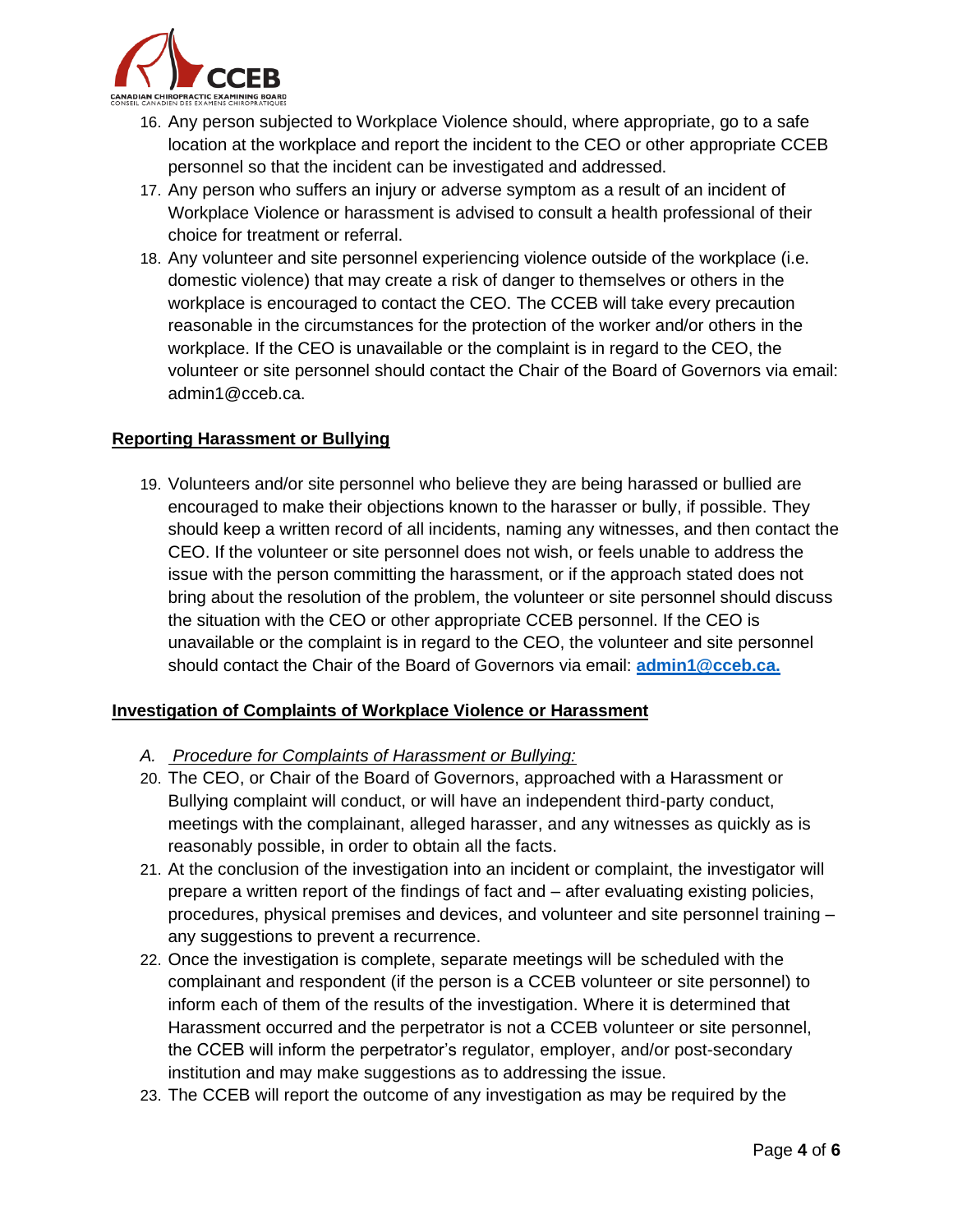

- 16. Any person subjected to Workplace Violence should, where appropriate, go to a safe location at the workplace and report the incident to the CEO or other appropriate CCEB personnel so that the incident can be investigated and addressed.
- 17. Any person who suffers an injury or adverse symptom as a result of an incident of Workplace Violence or harassment is advised to consult a health professional of their choice for treatment or referral.
- 18. Any volunteer and site personnel experiencing violence outside of the workplace (i.e. domestic violence) that may create a risk of danger to themselves or others in the workplace is encouraged to contact the CEO. The CCEB will take every precaution reasonable in the circumstances for the protection of the worker and/or others in the workplace. If the CEO is unavailable or the complaint is in regard to the CEO, the volunteer or site personnel should contact the Chair of the Board of Governors via email: admin1@cceb.ca.

#### **Reporting Harassment or Bullying**

19. Volunteers and/or site personnel who believe they are being harassed or bullied are encouraged to make their objections known to the harasser or bully, if possible. They should keep a written record of all incidents, naming any witnesses, and then contact the CEO. If the volunteer or site personnel does not wish, or feels unable to address the issue with the person committing the harassment, or if the approach stated does not bring about the resolution of the problem, the volunteer or site personnel should discuss the situation with the CEO or other appropriate CCEB personnel. If the CEO is unavailable or the complaint is in regard to the CEO, the volunteer and site personnel should contact the Chair of the Board of Governors via email: **admin1@cceb.ca.**

## **Investigation of Complaints of Workplace Violence or Harassment**

- *A. Procedure for Complaints of Harassment or Bullying:*
- 20. The CEO, or Chair of the Board of Governors, approached with a Harassment or Bullying complaint will conduct, or will have an independent third-party conduct, meetings with the complainant, alleged harasser, and any witnesses as quickly as is reasonably possible, in order to obtain all the facts.
- 21. At the conclusion of the investigation into an incident or complaint, the investigator will prepare a written report of the findings of fact and – after evaluating existing policies, procedures, physical premises and devices, and volunteer and site personnel training – any suggestions to prevent a recurrence.
- 22. Once the investigation is complete, separate meetings will be scheduled with the complainant and respondent (if the person is a CCEB volunteer or site personnel) to inform each of them of the results of the investigation. Where it is determined that Harassment occurred and the perpetrator is not a CCEB volunteer or site personnel, the CCEB will inform the perpetrator's regulator, employer, and/or post-secondary institution and may make suggestions as to addressing the issue.
- 23. The CCEB will report the outcome of any investigation as may be required by the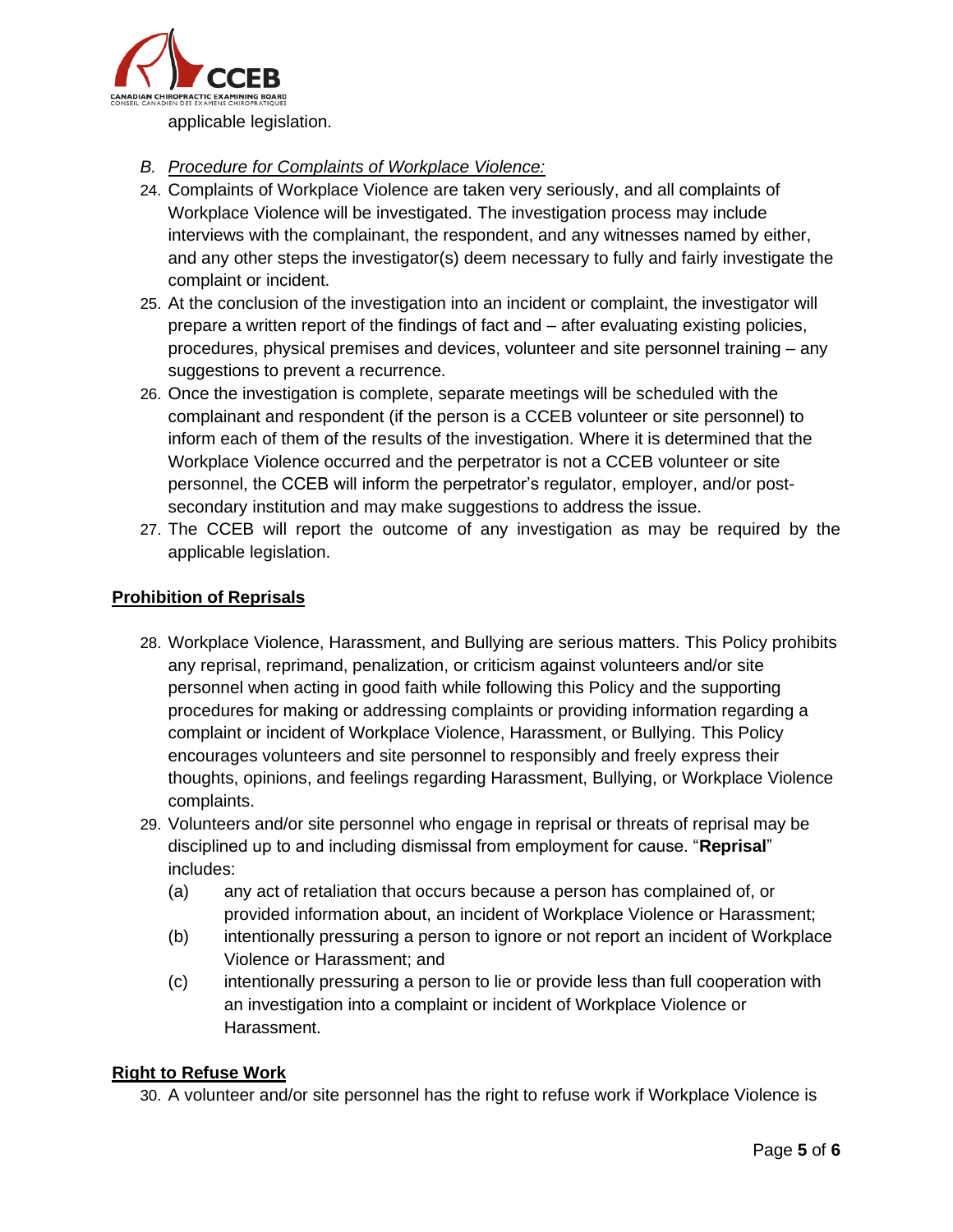

applicable legislation.

- *B. Procedure for Complaints of Workplace Violence:*
- 24. Complaints of Workplace Violence are taken very seriously, and all complaints of Workplace Violence will be investigated. The investigation process may include interviews with the complainant, the respondent, and any witnesses named by either, and any other steps the investigator(s) deem necessary to fully and fairly investigate the complaint or incident.
- 25. At the conclusion of the investigation into an incident or complaint, the investigator will prepare a written report of the findings of fact and – after evaluating existing policies, procedures, physical premises and devices, volunteer and site personnel training – any suggestions to prevent a recurrence.
- 26. Once the investigation is complete, separate meetings will be scheduled with the complainant and respondent (if the person is a CCEB volunteer or site personnel) to inform each of them of the results of the investigation. Where it is determined that the Workplace Violence occurred and the perpetrator is not a CCEB volunteer or site personnel, the CCEB will inform the perpetrator's regulator, employer, and/or postsecondary institution and may make suggestions to address the issue.
- 27. The CCEB will report the outcome of any investigation as may be required by the applicable legislation.

## **Prohibition of Reprisals**

- 28. Workplace Violence, Harassment, and Bullying are serious matters. This Policy prohibits any reprisal, reprimand, penalization, or criticism against volunteers and/or site personnel when acting in good faith while following this Policy and the supporting procedures for making or addressing complaints or providing information regarding a complaint or incident of Workplace Violence, Harassment, or Bullying. This Policy encourages volunteers and site personnel to responsibly and freely express their thoughts, opinions, and feelings regarding Harassment, Bullying, or Workplace Violence complaints.
- 29. Volunteers and/or site personnel who engage in reprisal or threats of reprisal may be disciplined up to and including dismissal from employment for cause. "**Reprisal**" includes:
	- (a) any act of retaliation that occurs because a person has complained of, or provided information about, an incident of Workplace Violence or Harassment;
	- (b) intentionally pressuring a person to ignore or not report an incident of Workplace Violence or Harassment; and
	- (c) intentionally pressuring a person to lie or provide less than full cooperation with an investigation into a complaint or incident of Workplace Violence or Harassment.

## **Right to Refuse Work**

30. A volunteer and/or site personnel has the right to refuse work if Workplace Violence is